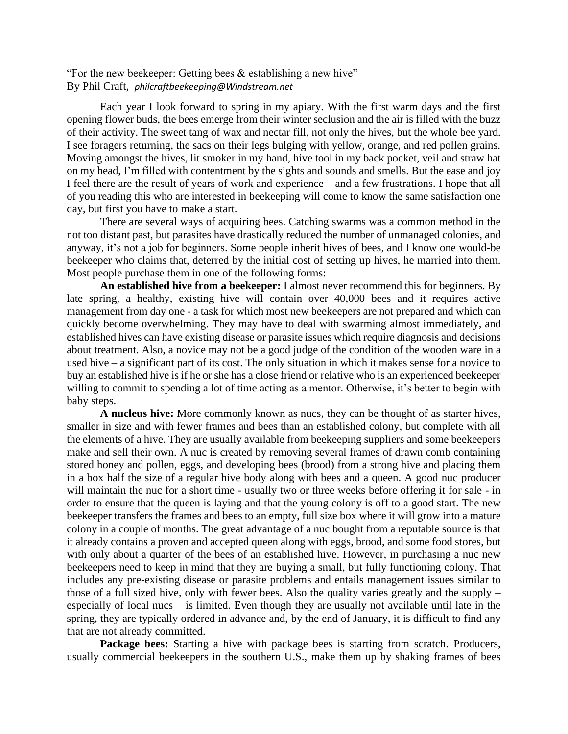"For the new beekeeper: Getting bees & establishing a new hive" By Phil Craft, *philcraftbeekeeping@Windstream.net*

Each year I look forward to spring in my apiary. With the first warm days and the first opening flower buds, the bees emerge from their winter seclusion and the air is filled with the buzz of their activity. The sweet tang of wax and nectar fill, not only the hives, but the whole bee yard. I see foragers returning, the sacs on their legs bulging with yellow, orange, and red pollen grains. Moving amongst the hives, lit smoker in my hand, hive tool in my back pocket, veil and straw hat on my head, I'm filled with contentment by the sights and sounds and smells. But the ease and joy I feel there are the result of years of work and experience – and a few frustrations. I hope that all of you reading this who are interested in beekeeping will come to know the same satisfaction one day, but first you have to make a start.

There are several ways of acquiring bees. Catching swarms was a common method in the not too distant past, but parasites have drastically reduced the number of unmanaged colonies, and anyway, it's not a job for beginners. Some people inherit hives of bees, and I know one would-be beekeeper who claims that, deterred by the initial cost of setting up hives, he married into them. Most people purchase them in one of the following forms:

**An established hive from a beekeeper:** I almost never recommend this for beginners. By late spring, a healthy, existing hive will contain over 40,000 bees and it requires active management from day one - a task for which most new beekeepers are not prepared and which can quickly become overwhelming. They may have to deal with swarming almost immediately, and established hives can have existing disease or parasite issues which require diagnosis and decisions about treatment. Also, a novice may not be a good judge of the condition of the wooden ware in a used hive – a significant part of its cost. The only situation in which it makes sense for a novice to buy an established hive is if he or she has a close friend or relative who is an experienced beekeeper willing to commit to spending a lot of time acting as a mentor. Otherwise, it's better to begin with baby steps.

**A nucleus hive:** More commonly known as nucs, they can be thought of as starter hives, smaller in size and with fewer frames and bees than an established colony, but complete with all the elements of a hive. They are usually available from beekeeping suppliers and some beekeepers make and sell their own. A nuc is created by removing several frames of drawn comb containing stored honey and pollen, eggs, and developing bees (brood) from a strong hive and placing them in a box half the size of a regular hive body along with bees and a queen. A good nuc producer will maintain the nuc for a short time - usually two or three weeks before offering it for sale - in order to ensure that the queen is laying and that the young colony is off to a good start. The new beekeeper transfers the frames and bees to an empty, full size box where it will grow into a mature colony in a couple of months. The great advantage of a nuc bought from a reputable source is that it already contains a proven and accepted queen along with eggs, brood, and some food stores, but with only about a quarter of the bees of an established hive. However, in purchasing a nuc new beekeepers need to keep in mind that they are buying a small, but fully functioning colony. That includes any pre-existing disease or parasite problems and entails management issues similar to those of a full sized hive, only with fewer bees. Also the quality varies greatly and the supply – especially of local nucs – is limited. Even though they are usually not available until late in the spring, they are typically ordered in advance and, by the end of January, it is difficult to find any that are not already committed.

**Package bees:** Starting a hive with package bees is starting from scratch. Producers, usually commercial beekeepers in the southern U.S., make them up by shaking frames of bees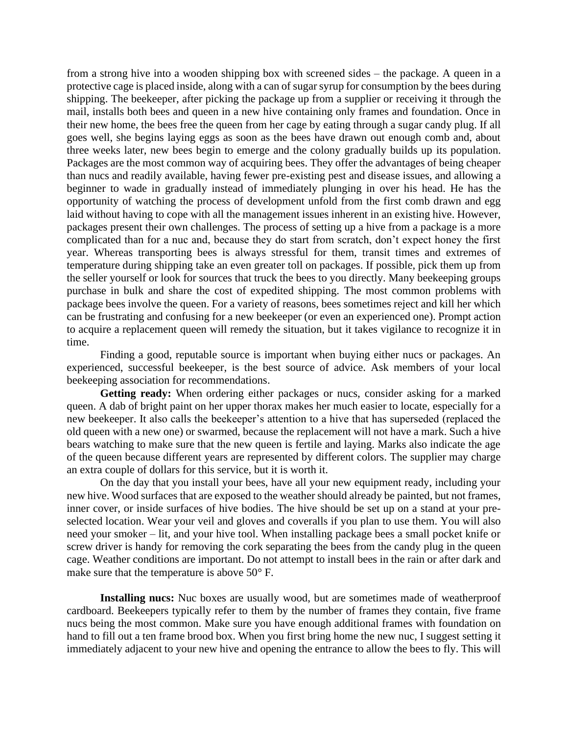from a strong hive into a wooden shipping box with screened sides – the package. A queen in a protective cage is placed inside, along with a can of sugar syrup for consumption by the bees during shipping. The beekeeper, after picking the package up from a supplier or receiving it through the mail, installs both bees and queen in a new hive containing only frames and foundation. Once in their new home, the bees free the queen from her cage by eating through a sugar candy plug. If all goes well, she begins laying eggs as soon as the bees have drawn out enough comb and, about three weeks later, new bees begin to emerge and the colony gradually builds up its population. Packages are the most common way of acquiring bees. They offer the advantages of being cheaper than nucs and readily available, having fewer pre-existing pest and disease issues, and allowing a beginner to wade in gradually instead of immediately plunging in over his head. He has the opportunity of watching the process of development unfold from the first comb drawn and egg laid without having to cope with all the management issues inherent in an existing hive. However, packages present their own challenges. The process of setting up a hive from a package is a more complicated than for a nuc and, because they do start from scratch, don't expect honey the first year. Whereas transporting bees is always stressful for them, transit times and extremes of temperature during shipping take an even greater toll on packages. If possible, pick them up from the seller yourself or look for sources that truck the bees to you directly. Many beekeeping groups purchase in bulk and share the cost of expedited shipping. The most common problems with package bees involve the queen. For a variety of reasons, bees sometimes reject and kill her which can be frustrating and confusing for a new beekeeper (or even an experienced one). Prompt action to acquire a replacement queen will remedy the situation, but it takes vigilance to recognize it in time.

Finding a good, reputable source is important when buying either nucs or packages. An experienced, successful beekeeper, is the best source of advice. Ask members of your local beekeeping association for recommendations.

**Getting ready:** When ordering either packages or nucs, consider asking for a marked queen. A dab of bright paint on her upper thorax makes her much easier to locate, especially for a new beekeeper. It also calls the beekeeper's attention to a hive that has superseded (replaced the old queen with a new one) or swarmed, because the replacement will not have a mark. Such a hive bears watching to make sure that the new queen is fertile and laying. Marks also indicate the age of the queen because different years are represented by different colors. The supplier may charge an extra couple of dollars for this service, but it is worth it.

On the day that you install your bees, have all your new equipment ready, including your new hive. Wood surfaces that are exposed to the weather should already be painted, but not frames, inner cover, or inside surfaces of hive bodies. The hive should be set up on a stand at your preselected location. Wear your veil and gloves and coveralls if you plan to use them. You will also need your smoker – lit, and your hive tool. When installing package bees a small pocket knife or screw driver is handy for removing the cork separating the bees from the candy plug in the queen cage. Weather conditions are important. Do not attempt to install bees in the rain or after dark and make sure that the temperature is above 50° F.

**Installing nucs:** Nuc boxes are usually wood, but are sometimes made of weatherproof cardboard. Beekeepers typically refer to them by the number of frames they contain, five frame nucs being the most common. Make sure you have enough additional frames with foundation on hand to fill out a ten frame brood box. When you first bring home the new nuc, I suggest setting it immediately adjacent to your new hive and opening the entrance to allow the bees to fly. This will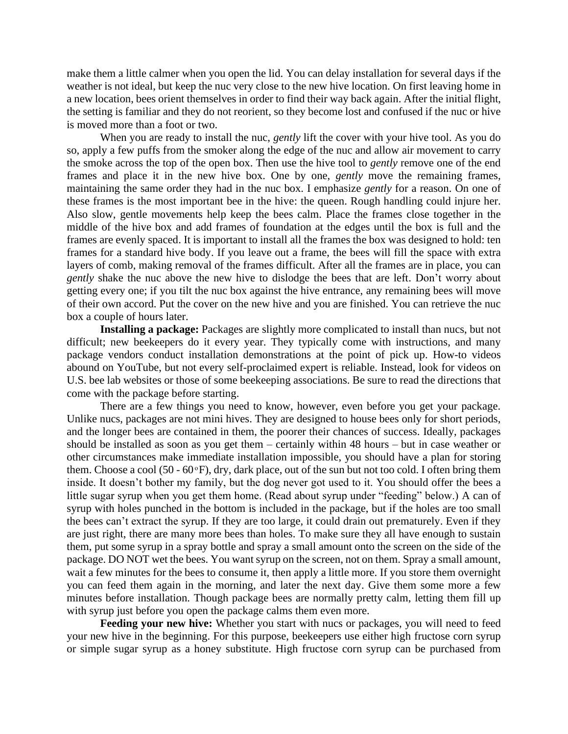make them a little calmer when you open the lid. You can delay installation for several days if the weather is not ideal, but keep the nuc very close to the new hive location. On first leaving home in a new location, bees orient themselves in order to find their way back again. After the initial flight, the setting is familiar and they do not reorient, so they become lost and confused if the nuc or hive is moved more than a foot or two.

When you are ready to install the nuc, *gently* lift the cover with your hive tool. As you do so, apply a few puffs from the smoker along the edge of the nuc and allow air movement to carry the smoke across the top of the open box. Then use the hive tool to *gently* remove one of the end frames and place it in the new hive box. One by one, *gently* move the remaining frames, maintaining the same order they had in the nuc box. I emphasize *gently* for a reason. On one of these frames is the most important bee in the hive: the queen. Rough handling could injure her. Also slow, gentle movements help keep the bees calm. Place the frames close together in the middle of the hive box and add frames of foundation at the edges until the box is full and the frames are evenly spaced. It is important to install all the frames the box was designed to hold: ten frames for a standard hive body. If you leave out a frame, the bees will fill the space with extra layers of comb, making removal of the frames difficult. After all the frames are in place, you can *gently* shake the nuc above the new hive to dislodge the bees that are left. Don't worry about getting every one; if you tilt the nuc box against the hive entrance, any remaining bees will move of their own accord. Put the cover on the new hive and you are finished. You can retrieve the nuc box a couple of hours later.

**Installing a package:** Packages are slightly more complicated to install than nucs, but not difficult; new beekeepers do it every year. They typically come with instructions, and many package vendors conduct installation demonstrations at the point of pick up. How-to videos abound on YouTube, but not every self-proclaimed expert is reliable. Instead, look for videos on U.S. bee lab websites or those of some beekeeping associations. Be sure to read the directions that come with the package before starting.

There are a few things you need to know, however, even before you get your package. Unlike nucs, packages are not mini hives. They are designed to house bees only for short periods, and the longer bees are contained in them, the poorer their chances of success. Ideally, packages should be installed as soon as you get them – certainly within 48 hours – but in case weather or other circumstances make immediate installation impossible, you should have a plan for storing them. Choose a cool (50 -  $60^{\circ}$ F), dry, dark place, out of the sun but not too cold. I often bring them inside. It doesn't bother my family, but the dog never got used to it. You should offer the bees a little sugar syrup when you get them home. (Read about syrup under "feeding" below.) A can of syrup with holes punched in the bottom is included in the package, but if the holes are too small the bees can't extract the syrup. If they are too large, it could drain out prematurely. Even if they are just right, there are many more bees than holes. To make sure they all have enough to sustain them, put some syrup in a spray bottle and spray a small amount onto the screen on the side of the package. DO NOT wet the bees. You want syrup on the screen, not on them. Spray a small amount, wait a few minutes for the bees to consume it, then apply a little more. If you store them overnight you can feed them again in the morning, and later the next day. Give them some more a few minutes before installation. Though package bees are normally pretty calm, letting them fill up with syrup just before you open the package calms them even more.

**Feeding your new hive:** Whether you start with nucs or packages, you will need to feed your new hive in the beginning. For this purpose, beekeepers use either high fructose corn syrup or simple sugar syrup as a honey substitute. High fructose corn syrup can be purchased from